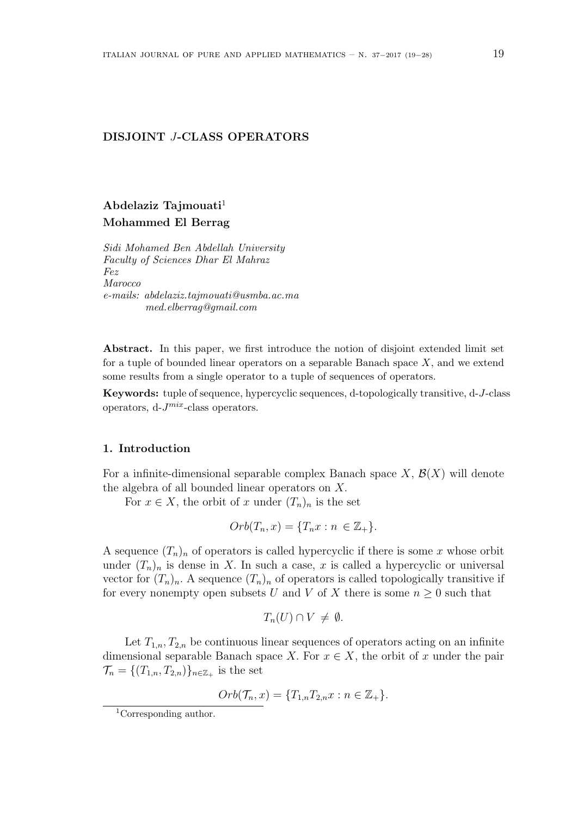## **DISJOINT** *J***-CLASS OPERATORS**

# **Abdelaziz Tajmouati**<sup>1</sup> **Mohammed El Berrag**

*Sidi Mohamed Ben Abdellah University Faculty of Sciences Dhar El Mahraz Fez Marocco e-mails: abdelaziz.tajmouati@usmba.ac.ma med.elberrag@gmail.com*

**Abstract.** In this paper, we first introduce the notion of disjoint extended limit set for a tuple of bounded linear operators on a separable Banach space *X*, and we extend some results from a single operator to a tuple of sequences of operators.

**Keywords:** tuple of sequence, hypercyclic sequences, d-topologically transitive, d-*J*-class operators, d-*J mix*-class operators.

### **1. Introduction**

For a infinite-dimensional separable complex Banach space  $X$ ,  $\mathcal{B}(X)$  will denote the algebra of all bounded linear operators on *X.*

For  $x \in X$ , the orbit of *x* under  $(T_n)_n$  is the set

$$
Orb(T_n, x) = \{T_n x : n \in \mathbb{Z}_+\}.
$$

A sequence  $(T_n)_n$  of operators is called hypercyclic if there is some x whose orbit under  $(T_n)_n$  is dense in X. In such a case, x is called a hypercyclic or universal vector for  $(T_n)_n$ . A sequence  $(T_n)_n$  of operators is called topologically transitive if for every nonempty open subsets *U* and *V* of *X* there is some  $n \geq 0$  such that

$$
T_n(U) \cap V \neq \emptyset.
$$

Let  $T_{1,n}, T_{2,n}$  be continuous linear sequences of operators acting on an infinite dimensional separable Banach space *X*. For  $x \in X$ , the orbit of *x* under the pair  $\mathcal{T}_n = \{(T_{1,n}, T_{2,n})\}_{n \in \mathbb{Z}_+}$  is the set

$$
Orb(\mathcal{T}_n, x) = \{T_{1,n}T_{2,n}x : n \in \mathbb{Z}_+\}.
$$

<sup>&</sup>lt;sup>1</sup>Corresponding author.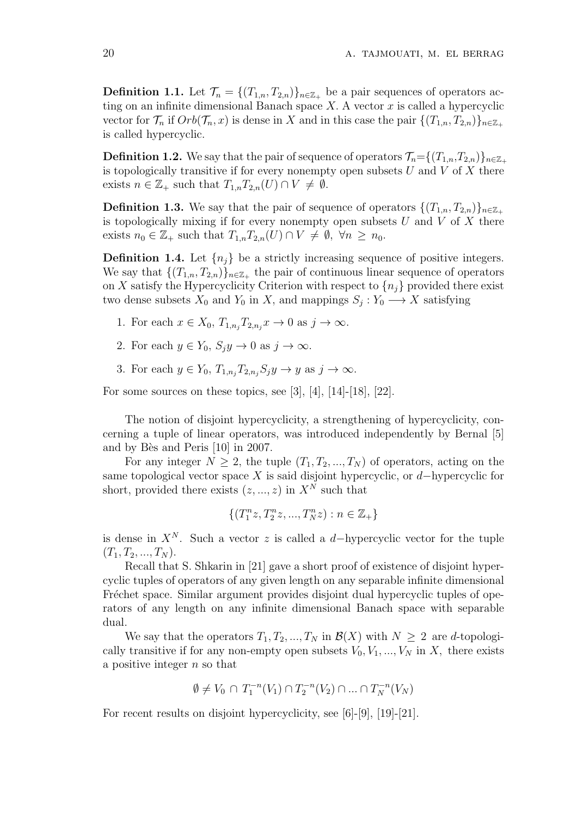**Definition 1.1.** Let  $\mathcal{T}_n = \{(T_{1,n}, T_{2,n})\}_{n \in \mathbb{Z}_+}$  be a pair sequences of operators acting on an infinite dimensional Banach space *X.* A vector *x* is called a hypercyclic vector for  $\mathcal{T}_n$  if  $Orb(\mathcal{T}_n, x)$  is dense in *X* and in this case the pair  $\{(T_{1,n}, T_{2,n})\}_{n \in \mathbb{Z}_+}$ is called hypercyclic.

**Definition 1.2.** We say that the pair of sequence of operators  $\mathcal{T}_n = \{(T_{1,n}, T_{2,n})\}_{n \in \mathbb{Z}_+}$ is topologically transitive if for every nonempty open subsets *U* and *V* of *X* there exists  $n \in \mathbb{Z}_+$  such that  $T_{1,n}T_{2,n}(U) \cap V \neq \emptyset$ .

**Definition 1.3.** We say that the pair of sequence of operators  $\{(T_{1,n}, T_{2,n})\}_{n\in\mathbb{Z}_+}$ is topologically mixing if for every nonempty open subsets *U* and *V* of *X* there exists  $n_0 \in \mathbb{Z}_+$  such that  $T_{1,n}T_{2,n}(U) \cap V \neq \emptyset$ ,  $\forall n \geq n_0$ .

**Definition 1.4.** Let  $\{n_j\}$  be a strictly increasing sequence of positive integers. We say that  $\{(T_{1,n}, T_{2,n})\}_{n \in \mathbb{Z}_+}$  the pair of continuous linear sequence of operators on *X* satisfy the Hypercyclicity Criterion with respect to  $\{n_i\}$  provided there exist two dense subsets  $X_0$  and  $Y_0$  in  $X$ , and mappings  $S_j: Y_0 \longrightarrow X$  satisfying

- 1. For each  $x \in X_0, T_{1,n_i}T_{2,n_i}x \to 0$  as  $j \to \infty$ .
- 2. For each  $y \in Y_0$ ,  $S_j y \to 0$  as  $j \to \infty$ .
- 3. For each  $y \in Y_0$ ,  $T_{1,n_i}T_{2,n_i}S_jy \to y$  as  $j \to \infty$ .

For some sources on these topics, see [3], [4],  $[14]$ -[18], [22].

The notion of disjoint hypercyclicity, a strengthening of hypercyclicity, concerning a tuple of linear operators, was introduced independently by Bernal [5] and by Bès and Peris [10] in 2007.

For any integer  $N \geq 2$ , the tuple  $(T_1, T_2, ..., T_N)$  of operators, acting on the same topological vector space *X* is said disjoint hypercyclic, or *d−*hypercyclic for short, provided there exists  $(z, ..., z)$  in  $X^N$  such that

$$
\{(T_1^nz, T_2^nz, ..., T_N^nz): n\in {\mathbb Z}_+\}
$$

is dense in  $X^N$ . Such a vector *z* is called a *d*−hypercyclic vector for the tuple  $(T_1, T_2, ..., T_N)$ .

Recall that S. Shkarin in [21] gave a short proof of existence of disjoint hypercyclic tuples of operators of any given length on any separable infinite dimensional Fréchet space. Similar argument provides disjoint dual hypercyclic tuples of operators of any length on any infinite dimensional Banach space with separable dual.

We say that the operators  $T_1, T_2, ..., T_N$  in  $\mathcal{B}(X)$  with  $N \geq 2$  are *d*-topologically transitive if for any non-empty open subsets  $V_0, V_1, ..., V_N$  in *X*, there exists a positive integer *n* so that

$$
\emptyset\neq V_0\,\cap\,T_1^{-n}(V_1)\cap T_2^{-n}(V_2)\cap\ldots\cap T_N^{-n}(V_N)
$$

For recent results on disjoint hypercyclicity, see [6]-[9], [19]-[21].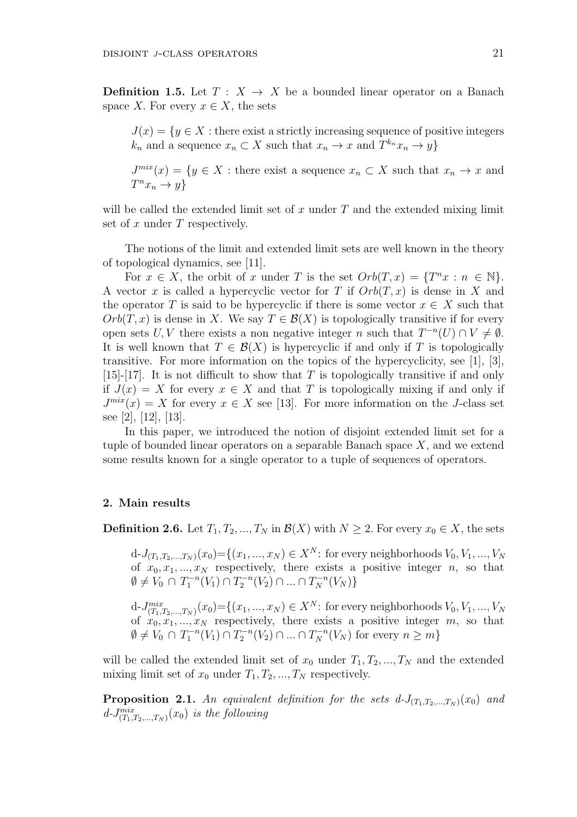**Definition 1.5.** Let  $T: X \rightarrow X$  be a bounded linear operator on a Banach space *X*. For every  $x \in X$ , the sets

 $J(x) = \{y \in X : \text{there exist a strictly increasing sequence of positive integers}\}$  $k_n$  and a sequence  $x_n \subset X$  such that  $x_n \to x$  and  $T^{k_n}x_n \to y$ 

 $J^{mix}(x) = \{y \in X : \text{there exist a sequence } x_n \subset X \text{ such that } x_n \to x \text{ and }$  $T^n x_n \to y$ 

will be called the extended limit set of *x* under *T* and the extended mixing limit set of *x* under *T* respectively.

The notions of the limit and extended limit sets are well known in the theory of topological dynamics, see [11].

For  $x \in X$ , the orbit of *x* under *T* is the set  $Orb(T, x) = \{T^n x : n \in \mathbb{N}\}.$ A vector *x* is called a hypercyclic vector for *T* if *Orb*(*T, x*) is dense in *X* and the operator *T* is said to be hypercyclic if there is some vector  $x \in X$  such that  $Orb(T, x)$  is dense in *X*. We say  $T \in \mathcal{B}(X)$  is topologically transitive if for every open sets *U*, *V* there exists a non negative integer *n* such that  $T^{-n}(U) \cap V \neq \emptyset$ . It is well known that  $T \in \mathcal{B}(X)$  is hypercyclic if and only if *T* is topologically transitive. For more information on the topics of the hypercyclicity, see [1], [3], [15]-[17]. It is not difficult to show that *T* is topologically transitive if and only if  $J(x) = X$  for every  $x \in X$  and that T is topologically mixing if and only if  $J^{mix}(x) = X$  for every  $x \in X$  see [13]. For more information on the *J*-class set see [2], [12], [13].

In this paper, we introduced the notion of disjoint extended limit set for a tuple of bounded linear operators on a separable Banach space *X*, and we extend some results known for a single operator to a tuple of sequences of operators.

### **2. Main results**

**Definition 2.6.** Let  $T_1, T_2, ..., T_N$  in  $\mathcal{B}(X)$  with  $N \geq 2$ . For every  $x_0 \in X$ , the sets

 $d-J_{(T_1,T_2,...,T_N)}(x_0) = \{(x_1,...,x_N) \in X^N\colon \text{for every neighborhood } V_0, V_1,...,V_N\}$ of  $x_0, x_1, \ldots, x_N$  respectively, there exists a positive integer *n*, so that  $\emptyset \neq V_0 \cap T_1^{-n}(V_1) \cap T_2^{-n}(V_2) \cap \dots \cap T_N^{-n}(V_N) \}$ 

 $d$ -*J*<sup>*mix</sup>*<sub> $(T_1, T_2, ..., T_N)}(x_0) = \{(x_1, ..., x_N) \in X^N$ : for every neighborhoods  $V_0, V_1, ..., V_N$ </sup></sub> of  $x_0, x_1, \ldots, x_N$  respectively, there exists a positive integer  $m$ , so that  $\emptyset \neq V_0 \cap T_1^{-n}(V_1) \cap T_2^{-n}(V_2) \cap ... \cap T_N^{-n}(V_N)$  for every  $n \geq m\}$ 

will be called the extended limit set of  $x_0$  under  $T_1, T_2, ..., T_N$  and the extended mixing limit set of  $x_0$  under  $T_1, T_2, ..., T_N$  respectively.

**Proposition 2.1.** An equivalent definition for the sets  $d-J_{(T_1,T_2,...,T_N)}(x_0)$  and  $d$ -*J*<sup> $mix$ </sup> $(T_1, T_2, ..., T_N)$   $(x_0)$  *is the following*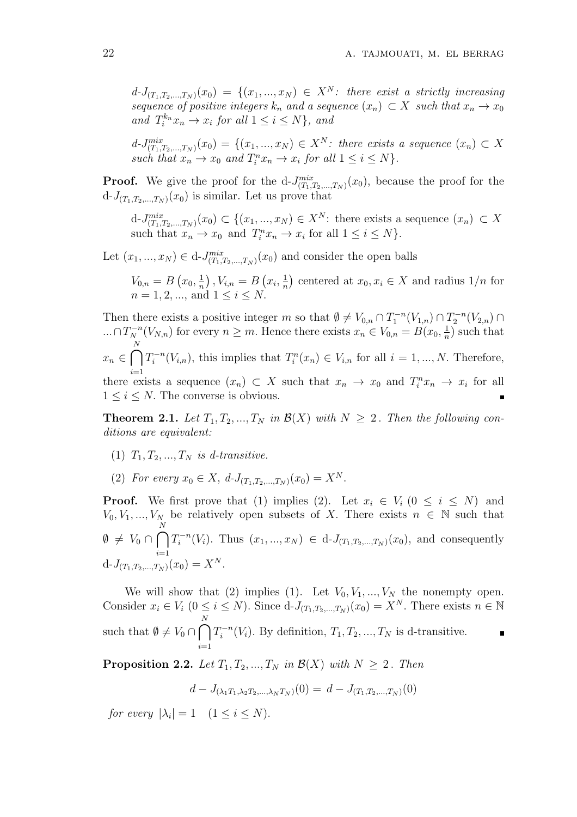$d-J_{(T_1,T_2,...,T_N)}(x_0) = \{(x_1,...,x_N) \in X^N: \text{ there exist a strictly increasing }$ *sequence of positive integers*  $k_n$  *and a sequence*  $(x_n) \subset X$  *such that*  $x_n \to x_0$ *and*  $T_i^{k_n} x_n \to x_i$  *for all*  $1 \leq i \leq N$ *}, and* 

 $d-J_{(T_1,T_2,...,T_N)}^{mix}(x_0) = \{(x_1,...,x_N) \in X^N: \text{ there exists a sequence } (x_n) \subset X$ *such that*  $x_n \to x_0$  *and*  $T_i^n x_n \to x_i$  *for all*  $1 \leq i \leq N$ *.* 

**Proof.** We give the proof for the  $d$ - $J_{(T_1,T_2,...,T_N)}^{mix}(x_0)$ , because the proof for the  $d$ - $J_{(T_1, T_2, ..., T_N)}(x_0)$  is similar. Let us prove that

 $d$ -*J*<sup>*mix</sup>*<sub> $(T_1, T_2, ..., T_N)}$  $(x_0)$  ⊂ { $(x_1, ..., x_N)$  ∈  $X^N$ : there exists a sequence  $(x_n)$  ⊂ *X*</sup></sub> such that  $x_n \to x_0$  and  $T_i^n x_n \to x_i$  for all  $1 \leq i \leq N$ .

Let  $(x_1, ..., x_N) \in d$ -*J*<sup>*mix</sup>*</sup> $(T_1, T_2, ..., T_N)$  (*x*<sub>0</sub>) and consider the open balls

 $V_{0,n} = B(x_0, \frac{1}{n})$  $\frac{1}{n}$ ,  $V_{i,n} = B(x_i, \frac{1}{n})$  $\frac{1}{n}$  centered at  $x_0, x_i \in X$  and radius  $1/n$  for  $n = 1, 2, ...,$  and  $1 \le i \le N$ .

Then there exists a positive integer *m* so that  $\emptyset \neq V_{0,n} \cap T_1^{-n}(V_{1,n}) \cap T_2^{-n}(V_{2,n}) \cap$  $\ldots \cap T_N^{-n}(V_{N,n})$  for every  $n \geq m$ . Hence there exists  $x_n \in V_{0,n} = B(x_0, \frac{1}{n})$  $\frac{1}{n}$ ) such that  $x_n \in \bigcap^N$ *i*=1  $T_i^{-n}(V_{i,n})$ , this implies that  $T_i^{n}(x_n) \in V_{i,n}$  for all  $i = 1, ..., N$ . Therefore, there exists a sequence  $(x_n) \subset X$  such that  $x_n \to x_0$  and  $T_i^n x_n \to x_i$  for all  $1 \leq i \leq N$ . The converse is obvious.

**Theorem 2.1.** *Let*  $T_1, T_2, ..., T_N$  *in*  $\mathcal{B}(X)$  *with*  $N \geq 2$ *. Then the following conditions are equivalent:*

- $(T_1, T_2, \ldots, T_N)$  *is d-transitive.*
- (2) *For every*  $x_0 \in X$ ,  $d$ -*J*<sub>(*T*<sub>1</sub>, *T*<sub>2</sub></sub>,  $(x_0) = X^N$ .

**Proof.** We first prove that (1) implies (2). Let  $x_i \in V_i$  ( $0 \le i \le N$ ) and  $V_0, V_1, ..., V_N$  be relatively open subsets of *X*. There exists  $n \in \mathbb{N}$  such that  $\emptyset \neq V_0 \cap \bigcap^N$ *i*=1  $T_i^{-n}(V_i)$ . Thus  $(x_1, ..., x_N) \in d-J_{(T_1, T_2, ..., T_N)}(x_0)$ , and consequently  $d-J_{(T_1,T_2,...,T_N)}(x_0) = X^N.$ 

We will show that (2) implies (1). Let  $V_0, V_1, ..., V_N$  the nonempty open. Consider  $x_i \in V_i$   $(0 \le i \le N)$ . Since  $d-J_{(T_1,T_2,...,T_N)}(x_0) = X^N$ . There exists  $n \in \mathbb{N}$ such that  $\emptyset \neq V_0 \cap \bigcap$ *N i*=1  $T_i^{-n}(V_i)$ . By definition,  $T_1, T_2, ..., T_N$  is d-transitive.

**Proposition 2.2.** *Let*  $T_1, T_2, ..., T_N$  *in*  $\mathcal{B}(X)$  *with*  $N \geq 2$ *. Then* 

$$
d - J_{(\lambda_1 T_1, \lambda_2 T_2, \dots, \lambda_N T_N)}(0) = d - J_{(T_1, T_2, \dots, T_N)}(0)
$$

*for every*  $|\lambda_i| = 1$   $(1 \le i \le N)$ *.*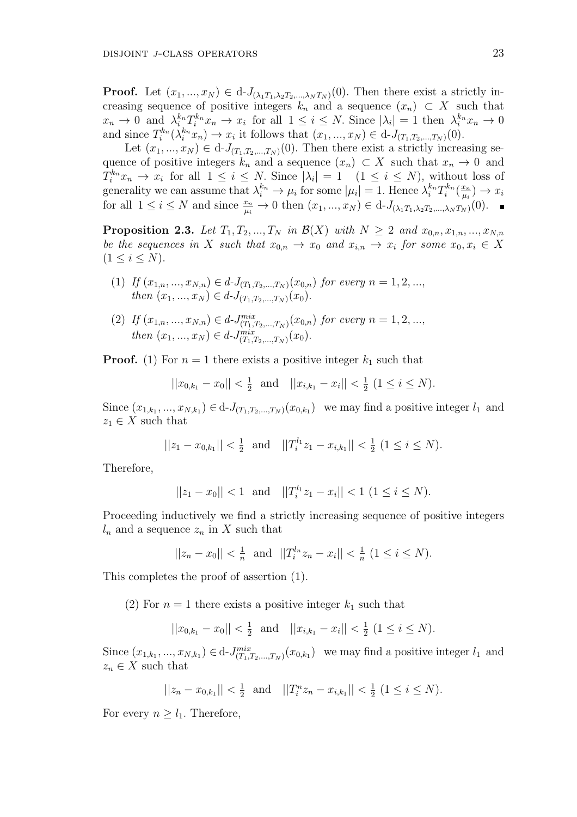**Proof.** Let  $(x_1, ..., x_N) \in d$ -*J*( $\lambda_1 T_1, \lambda_2 T_2, ..., \lambda_N T_N$ )(0)*.* Then there exist a strictly increasing sequence of positive integers  $k_n$  and a sequence  $(x_n) \subset X$  such that  $x_n \to 0$  and  $\lambda_i^{k_n} T_i^{k_n} x_n \to x_i$  for all  $1 \leq i \leq N$ . Since  $|\lambda_i| = 1$  then  $\lambda_i^{k_n} x_n \to 0$ and since  $T_i^{k_n}(\lambda_i^{k_n} x_n) \to x_i$  it follows that  $(x_1, ..., x_N) \in d-J_{(T_1, T_2, ..., T_N)}(0)$ .

Let  $(x_1, ..., x_N) \in d$ -*J*( $T_1, T_2, ..., T_N$ )(0). Then there exist a strictly increasing sequence of positive integers  $k_n$  and a sequence  $(x_n) \subset X$  such that  $x_n \to 0$  and  $T_i^{k_n}x_n \to x_i$  for all  $1 \leq i \leq N$ . Since  $|\lambda_i| = 1$   $(1 \leq i \leq N)$ , without loss of generality we can assume that  $\lambda_i^{k_n} \to \mu_i$  for some  $|\mu_i| = 1$ . Hence  $\lambda_i^{k_n} T_i^{k_n}(\frac{x_n}{\mu_i})$  $\frac{x_n}{\mu_i}$ )  $\rightarrow$   $x_i$ for all  $1 \leq i \leq N$  and since  $\frac{x_n}{\mu_i} \to 0$  then  $(x_1, ..., x_N) \in d-J_{(\lambda_1 T_1, \lambda_2 T_2, ..., \lambda_N T_N)}(0)$ .

**Proposition 2.3.** Let  $T_1, T_2, ..., T_N$  in  $\mathcal{B}(X)$  with  $N \geq 2$  and  $x_{0,n}, x_{1,n}, ..., x_{N,n}$ *be the sequences in X such that*  $x_{0,n} \to x_0$  *and*  $x_{i,n} \to x_i$  *for some*  $x_0, x_i \in X$  $(1 \leq i \leq N)$ .

(1) If 
$$
(x_{1,n},...,x_{N,n}) \in d \cdot J_{(T_1,T_2,...,T_N)}(x_{0,n})
$$
 for every  $n = 1, 2, ...,$   
then  $(x_1,...,x_N) \in d \cdot J_{(T_1,T_2,...,T_N)}(x_0)$ .

(2) If  $(x_{1,n},...,x_{N,n}) \in d$ -*J* $\lim_{(T_1,T_2,...,T_N)}^{mix}(x_{0,n})$  for every  $n = 1,2,...,$ *then*  $(x_1, ..., x_N) \in d$ -*J*<sup>*mix</sup>*</sup> $(T_1, T_2, ..., T_N)(x_0)$ *.* 

**Proof.** (1) For  $n = 1$  there exists a positive integer  $k_1$  such that

$$
||x_{0,k_1} - x_0|| < \frac{1}{2}
$$
 and  $||x_{i,k_1} - x_i|| < \frac{1}{2} (1 \le i \le N).$ 

Since  $(x_{1,k_1},...,x_{N,k_1}) \in d \cdot J_{(T_1,T_2,...,T_N)}(x_{0,k_1})$  we may find a positive integer  $l_1$  and  $z_1 \in X$  such that

$$
||z_1 - x_{0,k_1}|| < \frac{1}{2}
$$
 and  $||T_i^{l_1}z_1 - x_{i,k_1}|| < \frac{1}{2} (1 \le i \le N).$ 

Therefore,

$$
||z_1 - x_0|| < 1
$$
 and  $||T_i^{l_1}z_1 - x_i|| < 1$   $(1 \le i \le N)$ .

Proceeding inductively we find a strictly increasing sequence of positive integers  $l_n$  and a sequence  $z_n$  in X such that

$$
||z_n - x_0|| < \frac{1}{n}
$$
 and  $||T_i^{l_n}z_n - x_i|| < \frac{1}{n}$   $(1 \le i \le N)$ .

This completes the proof of assertion (1).

(2) For  $n = 1$  there exists a positive integer  $k_1$  such that

$$
||x_{0,k_1} - x_0|| < \frac{1}{2}
$$
 and  $||x_{i,k_1} - x_i|| < \frac{1}{2} (1 \le i \le N).$ 

Since  $(x_{1,k_1},...,x_{N,k_1}) \in d$ -*J*<sup>*mix*</sup></sup> $(T_1,T_2,...,T_N)(x_{0,k_1})$  we may find a positive integer  $l_1$  and  $z_n \in X$  such that

$$
||z_n - x_{0,k_1}|| < \frac{1}{2}
$$
 and  $||T_i^n z_n - x_{i,k_1}|| < \frac{1}{2} (1 \le i \le N).$ 

For every  $n \geq l_1$ . Therefore,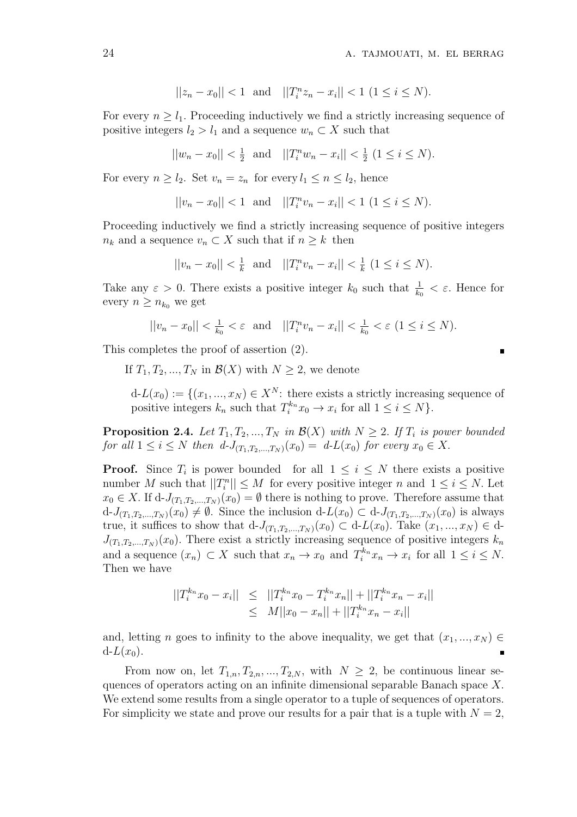$$
||z_n - x_0|| < 1
$$
 and  $||T_i^n z_n - x_i|| < 1$   $(1 \le i \le N)$ .

For every  $n \geq l_1$ . Proceeding inductively we find a strictly increasing sequence of positive integers  $l_2 > l_1$  and a sequence  $w_n \subset X$  such that

$$
||w_n - x_0|| < \frac{1}{2}
$$
 and  $||T_i^n w_n - x_i|| < \frac{1}{2} (1 \le i \le N).$ 

For every  $n \geq l_2$ . Set  $v_n = z_n$  for every  $l_1 \leq n \leq l_2$ , hence

$$
||v_n - x_0|| < 1
$$
 and  $||T_i^n v_n - x_i|| < 1$   $(1 \le i \le N)$ .

Proceeding inductively we find a strictly increasing sequence of positive integers *n<sub>k</sub>* and a sequence  $v_n \subset X$  such that if  $n \geq k$  then

$$
||v_n - x_0|| < \frac{1}{k}
$$
 and  $||T_i^n v_n - x_i|| < \frac{1}{k} (1 \le i \le N).$ 

Take any  $\varepsilon > 0$ . There exists a positive integer  $k_0$  such that  $\frac{1}{k_0} < \varepsilon$ . Hence for every  $n \geq n_{k_0}$  we get

$$
||v_n - x_0|| < \frac{1}{k_0} < \varepsilon
$$
 and  $||T_i^n v_n - x_i|| < \frac{1}{k_0} < \varepsilon$   $(1 \le i \le N)$ .

This completes the proof of assertion (2).

If  $T_1, T_2, ..., T_N$  in  $\mathcal{B}(X)$  with  $N \geq 2$ , we denote

 $d-L(x_0) := \{(x_1, ..., x_N) \in X^N: \text{ there exists a strictly increasing sequence of } X$ positive integers  $k_n$  such that  $T_i^{k_n} x_0 \to x_i$  for all  $1 \leq i \leq N$ .

**Proposition 2.4.** *Let*  $T_1, T_2, ..., T_N$  *in*  $\mathcal{B}(X)$  *with*  $N \geq 2$ *. If*  $T_i$  *is power bounded for all*  $1 \leq i \leq N$  *then*  $d$ *-J*<sub>(*T*<sub>1</sub>,*T*<sub>2</sub>*,...,T*<sub>N</sub></sub>)(*x*<sub>0</sub>) = *d*-*L*(*x*<sub>0</sub>) *for every x*<sub>0</sub>  $\in$  *X*.

**Proof.** Since  $T_i$  is power bounded for all  $1 \leq i \leq N$  there exists a positive number *M* such that  $||T_i^n|| \leq M$  for every positive integer *n* and  $1 \leq i \leq N$ . Let *x*<sup>0</sup> ∈ *X*. If d-*J*<sub>(*T*1</sub>*,T*<sub>2</sub>*,...,T*<sub>*N*</sub>)</sub>(*x*<sup>0</sup>) =  $\emptyset$  there is nothing to prove. Therefore assume that  $d$ -*J*<sub>(*T*1</sub>,*T*<sub>2</sub>,...,*T*<sub>*N*</sub>)(*x*<sub>0</sub>)  $\neq \emptyset$ . Since the inclusion  $d$ -*L*(*x*<sub>0</sub>)  $\subset d$ -*J*<sub>(*T*1</sub>,*T*<sub>2</sub>,...,*T*<sub>*N*</sub>)(*x*<sub>0</sub>) is always true, it suffices to show that  $d-J_{(T_1,T_2,\ldots,T_N)}(x_0) \subset d-L(x_0)$ . Take  $(x_1,\ldots,x_N) \in d$ - $J_{(T_1, T_2, \ldots, T_N)}(x_0)$ . There exist a strictly increasing sequence of positive integers  $k_n$ and a sequence  $(x_n) \subset X$  such that  $x_n \to x_0$  and  $T_i^{k_n} x_n \to x_i$  for all  $1 \leq i \leq N$ . Then we have

$$
||T_i^{k_n}x_0 - x_i|| \le ||T_i^{k_n}x_0 - T_i^{k_n}x_n|| + ||T_i^{k_n}x_n - x_i||
$$
  
\n
$$
\le ||T_i^{k_n}x_0 - T_i^{k_n}x_n|| + ||T_i^{k_n}x_n - x_i||
$$

and, letting *n* goes to infinity to the above inequality, we get that  $(x_1, ..., x_N) \in$  $d-L(x_0)$ .  $\blacksquare$ 

From now on, let  $T_{1,n}, T_{2,n}, ..., T_{2,N}$ , with  $N \geq 2$ , be continuous linear sequences of operators acting on an infinite dimensional separable Banach space *X.* We extend some results from a single operator to a tuple of sequences of operators. For simplicity we state and prove our results for a pair that is a tuple with  $N = 2$ ,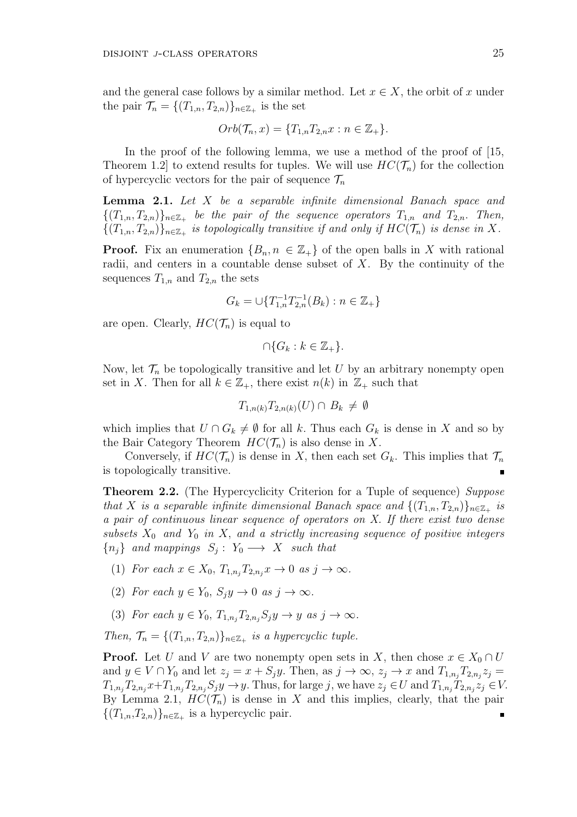and the general case follows by a similar method. Let  $x \in X$ , the orbit of *x* under the pair  $\mathcal{T}_n = \{(T_{1,n}, T_{2,n})\}_{n \in \mathbb{Z}_+}$  is the set

$$
Orb(\mathcal{T}_n, x) = \{T_{1,n}T_{2,n}x : n \in \mathbb{Z}_+\}.
$$

In the proof of the following lemma, we use a method of the proof of [15, Theorem 1.2 to extend results for tuples. We will use  $HC(\mathcal{T}_n)$  for the collection of hypercyclic vectors for the pair of sequence  $\mathcal{T}_n$ 

**Lemma 2.1.** *Let X be a separable infinite dimensional Banach space and*  ${(T_{1,n}, T_{2,n})}_{n \in \mathbb{Z}_+}$  be the pair of the sequence operators  $T_{1,n}$  and  $T_{2,n}$ . Then,  ${(T_{1,n}, T_{2,n})}_{n \in \mathbb{Z}_+}$  *is topologically transitive if and only if*  $HC(\mathcal{T}_n)$  *is dense in X.* 

**Proof.** Fix an enumeration  ${B_n, n \in \mathbb{Z}_+}$  of the open balls in X with rational radii, and centers in a countable dense subset of *X*. By the continuity of the sequences  $T_{1,n}$  and  $T_{2,n}$  the sets

$$
G_k = \bigcup \{ T_{1,n}^{-1} T_{2,n}^{-1}(B_k) : n \in \mathbb{Z}_+ \}
$$

are open. Clearly,  $HC(\mathcal{T}_n)$  is equal to

$$
\cap \{G_k : k \in \mathbb{Z}_+\}.
$$

Now, let  $\mathcal{T}_n$  be topologically transitive and let *U* by an arbitrary nonempty open set in *X*. Then for all  $k \in \mathbb{Z}_+$ , there exist  $n(k)$  in  $\mathbb{Z}_+$  such that

$$
T_{1,n(k)}T_{2,n(k)}(U)\cap B_k\neq\emptyset
$$

which implies that  $U \cap G_k \neq \emptyset$  for all k. Thus each  $G_k$  is dense in X and so by the Bair Category Theorem  $HC(\mathcal{T}_n)$  is also dense in X.

Conversely, if  $HC(\mathcal{T}_n)$  is dense in X, then each set  $G_k$ . This implies that  $\mathcal{T}_n$ is topologically transitive.

**Theorem 2.2.** (The Hypercyclicity Criterion for a Tuple of sequence) *Suppose that X is a separable infinite dimensional Banach space and*  $\{(T_{1,n}, T_{2,n})\}_{n \in \mathbb{Z}_+}$  *is a pair of continuous linear sequence of operators on X. If there exist two dense subsets*  $X_0$  *and*  $Y_0$  *in*  $X$ *, and a strictly increasing sequence of positive integers*  ${n_j}$  *and mappings*  $S_j: Y_0 \longrightarrow X$  *such that* 

- (1) *For each*  $x \in X_0, T_{1,n_i}T_{2,n_i}x \to 0$  *as*  $j \to \infty$ *.*
- (2) *For each*  $y \in Y_0$ ,  $S_i y \to 0$  *as*  $j \to \infty$ *.*
- (3) *For each*  $y \in Y_0$ ,  $T_{1,n_i}T_{2,n_i}S_jy \rightarrow y$  *as*  $j \rightarrow \infty$ .

*Then,*  $\mathcal{T}_n = \{(T_{1,n}, T_{2,n})\}_{n \in \mathbb{Z}_+}$  *is a hypercyclic tuple.* 

**Proof.** Let *U* and *V* are two nonempty open sets in *X*, then chose  $x \in X_0 \cap U$ and  $y \in V \cap Y_0$  and let  $z_j = x + S_j y$ . Then, as  $j \to \infty$ ,  $z_j \to x$  and  $T_{1,n_j} T_{2,n_j} z_j =$  $T_{1,n_j}T_{2,n_j}x+T_{1,n_j}T_{2,n_j}S_jy \to y.$  Thus, for large j, we have  $z_j \in U$  and  $T_{1,n_j}T_{2,n_j}z_j \in V.$ By Lemma 2.1,  $HC(\mathcal{T}_n)$  is dense in X and this implies, clearly, that the pair  ${(T_{1,n}, T_{2,n})}_{{n \in \mathbb{Z}_+}}$  is a hypercyclic pair.  $\blacksquare$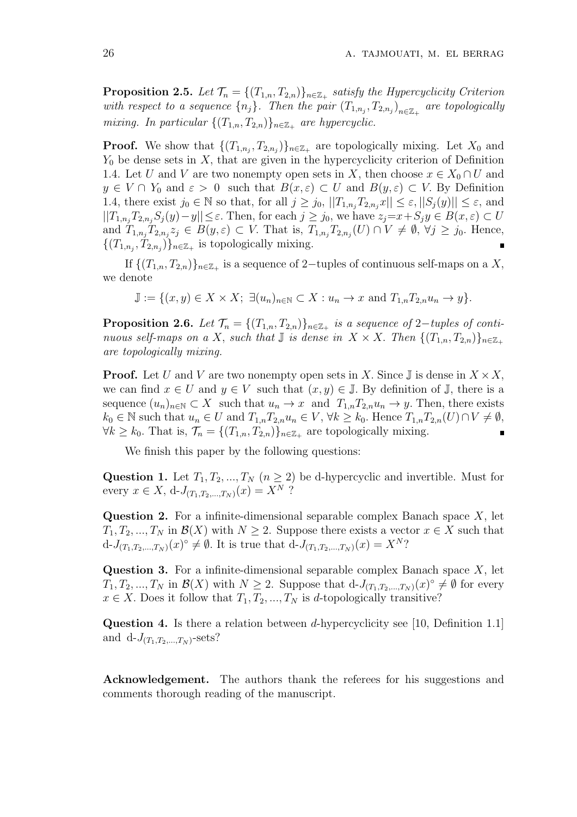**Proposition 2.5.** *Let*  $\mathcal{T}_n = \{(T_{1,n}, T_{2,n})\}_{n \in \mathbb{Z}_+}$  *satisfy the Hypercyclicity Criterion with respect to a sequence*  $\{n_j\}$ *. Then the pair*  $(T_{1,n_j}, T_{2,n_j})_{n \in \mathbb{Z}_+}$  are topologically *mixing.* In particular  $\{(T_{1,n}, T_{2,n})\}_{n \in \mathbb{Z}_+}$  are hypercyclic.

**Proof.** We show that  $\{(T_{1,n_j}, T_{2,n_j})\}_{n \in \mathbb{Z}_+}$  are topologically mixing. Let  $X_0$  and *Y*<sup>0</sup> be dense sets in *X,* that are given in the hypercyclicity criterion of Definition 1.4. Let *U* and *V* are two nonempty open sets in *X*, then choose  $x \in X_0 \cap U$  and  $y \in V \cap Y_0$  and  $\varepsilon > 0$  such that  $B(x,\varepsilon) \subset U$  and  $B(y,\varepsilon) \subset V$ . By Definition 1.4, there exist  $j_0 \in \mathbb{N}$  so that, for all  $j \geq j_0$ ,  $||T_{1,n_j}T_{2,n_j}x|| \leq \varepsilon, ||S_j(y)|| \leq \varepsilon$ , and  $||T_{1,n},T_{2,n},S_i(y)-y||\leq \varepsilon$ . Then, for each  $j\geq j_0$ , we have  $z_j=x+S_jy\in B(x,\varepsilon)\subset U$ and  $T_{1,n_j}T_{2,n_j}z_j \in B(y,\varepsilon) \subset V$ . That is,  $T_{1,n_j}T_{2,n_j}(U) \cap V \neq \emptyset$ ,  $\forall j \geq j_0$ . Hence,  ${(T_{1,n_j}, T_{2,n_j})}_{n \in \mathbb{Z}_+}$  is topologically mixing.

If  ${(T_{1,n}, T_{2,n})}_{{n \in \mathbb{Z}_+}}$  is a sequence of 2-tuples of continuous self-maps on a *X*, we denote

$$
\mathbb{J} := \{(x, y) \in X \times X; \ \exists (u_n)_{n \in \mathbb{N}} \subset X : u_n \to x \text{ and } T_{1,n} T_{2,n} u_n \to y\}.
$$

**Proposition 2.6.** *Let*  $\mathcal{T}_n = \{(T_{1,n}, T_{2,n})\}_{n \in \mathbb{Z}_+}$  is a sequence of 2–*tuples of continuous self-maps on a X, such that*  $\mathbb{J}$  *is dense in*  $X \times X$ . *Then*  $\{(T_{1,n}, T_{2,n})\}_{n \in \mathbb{Z}_+}$ *are topologically mixing.*

**Proof.** Let *U* and *V* are two nonempty open sets in *X*. Since  $\mathbb{J}$  is dense in  $X \times X$ , we can find  $x \in U$  and  $y \in V$  such that  $(x, y) \in \mathbb{J}$ . By definition of  $\mathbb{J}$ , there is a sequence  $(u_n)_{n\in\mathbb{N}} \subset X$  such that  $u_n \to x$  and  $T_{1,n}T_{2,n}u_n \to y$ . Then, there exists  $k_0 \in \mathbb{N}$  such that  $u_n \in U$  and  $T_{1,n}T_{2,n}u_n \in V$ ,  $\forall k \geq k_0$ . Hence  $T_{1,n}T_{2,n}(U) \cap V \neq \emptyset$ , *∀k* ≥ *k*<sub>0</sub>. That is,  $\mathcal{T}_n = \{(T_{1,n}, T_{2,n})\}_{n \in \mathbb{Z}_+}$  are topologically mixing.  $\blacksquare$ 

We finish this paper by the following questions:

Question 1. Let  $T_1, T_2, ..., T_N$  ( $n \geq 2$ ) be d-hypercyclic and invertible. Must for every  $x \in X$ , d- $J_{(T_1, T_2, ..., T_N)}(x) = X^N$ ?

**Question 2.** For a infinite-dimensional separable complex Banach space *X*, let  $T_1, T_2, ..., T_N$  in  $\mathcal{B}(X)$  with  $N \geq 2$ . Suppose there exists a vector  $x \in X$  such that  $d-J_{(T_1,T_2,...,T_N)}(x)$ <sup>°</sup>  $\neq \emptyset$ . It is true that  $d-J_{(T_1,T_2,...,T_N)}(x) = X^N$ ?

**Question 3.** For a infinite-dimensional separable complex Banach space *X*, let  $T_1, T_2, ..., T_N$  in  $\mathcal{B}(X)$  with  $N \geq 2$ . Suppose that  $d$ -*J*( $T_1, T_2, ..., T_N$ ) $(x)$ <sup>°</sup>  $\neq \emptyset$  for every  $x \in X$ . Does it follow that  $T_1, T_2, ..., T_N$  is *d*-topologically transitive?

**Question 4.** Is there a relation between *d*-hypercyclicity see [10, Definition 1.1] and  $d$ - $J_{(T_1, T_2, ..., T_N)}$ -sets?

**Acknowledgement.** The authors thank the referees for his suggestions and comments thorough reading of the manuscript.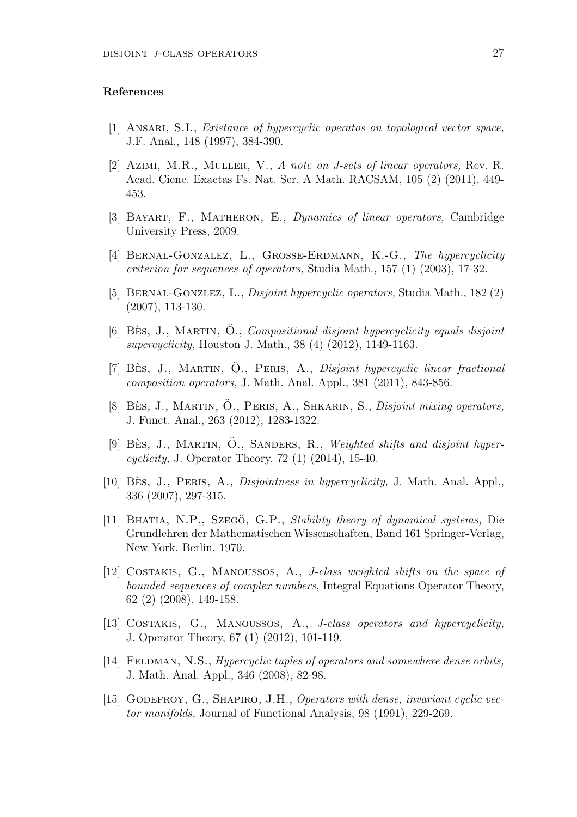### **References**

- [1] Ansari, S.I., *Existance of hypercyclic operatos on topological vector space,* J.F. Anal., 148 (1997), 384-390.
- [2] Azimi, M.R., Muller, V., *A note on J-sets of linear operators,* Rev. R. Acad. Cienc. Exactas Fs. Nat. Ser. A Math. RACSAM, 105 (2) (2011), 449- 453.
- [3] Bayart, F., Matheron, E., *Dynamics of linear operators,* Cambridge University Press, 2009.
- [4] Bernal-Gonzalez, L., Grosse-Erdmann, K.-G., *The hypercyclicity criterion for sequences of operators,* Studia Math., 157 (1) (2003), 17-32.
- [5] Bernal-Gonzlez, L., *Disjoint hypercyclic operators,* Studia Math., 182 (2) (2007), 113-130.
- [6] BÈS, J., MARTIN, O., *Compositional disjoint hypercyclicity equals disjoint supercyclicity,* Houston J. Math., 38 (4) (2012), 1149-1163.
- [7] Bès, J., MARTIN, O., PERIS, A., *Disjoint hypercyclic linear fractional composition operators,* J. Math. Anal. Appl., 381 (2011), 843-856.
- [8] Bès, J., MARTIN, Ö., PERIS, A., SHKARIN, S., *Disjoint mixing operators,* J. Funct. Anal., 263 (2012), 1283-1322.
- [9] BÈS, J., MARTIN, O., SANDERS, R., *Weighted shifts and disjoint hypercyclicity,* J. Operator Theory, 72 (1) (2014), 15-40.
- [10] Bès, J., PERIS, A., *Disjointness in hypercyclicity*, J. Math. Anal. Appl., 336 (2007), 297-315.
- [11] BHATIA, N.P., Szegö, G.P., *Stability theory of dynamical systems*, Die Grundlehren der Mathematischen Wissenschaften, Band 161 Springer-Verlag, New York, Berlin, 1970.
- [12] Costakis, G., Manoussos, A., *J-class weighted shifts on the space of bounded sequences of complex numbers,* Integral Equations Operator Theory, 62 (2) (2008), 149-158.
- [13] Costakis, G., Manoussos, A., *J-class operators and hypercyclicity,* J. Operator Theory, 67 (1) (2012), 101-119.
- [14] Feldman, N.S., *Hypercyclic tuples of operators and somewhere dense orbits,* J. Math. Anal. Appl., 346 (2008), 82-98.
- [15] Godefroy, G., Shapiro, J.H., *Operators with dense, invariant cyclic vector manifolds,* Journal of Functional Analysis, 98 (1991), 229-269.